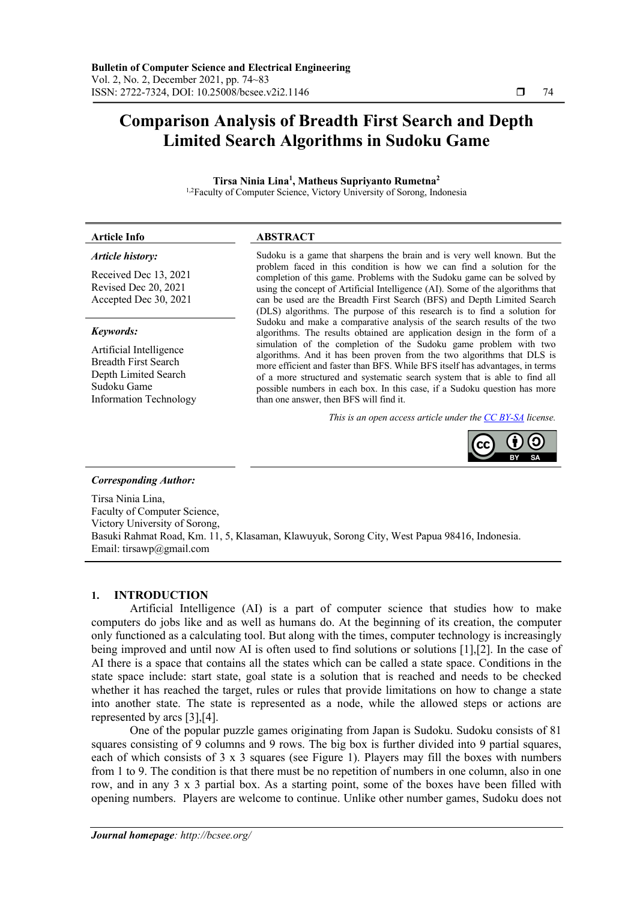# **Comparison Analysis of Breadth First Search and Depth Limited Search Algorithms in Sudoku Game**

**Tirsa Ninia Lina1 , Matheus Supriyanto Rumetna2** <sup>1,2</sup>Faculty of Computer Science, Victory University of Sorong, Indonesia

#### **Article Info ABSTRACT**

#### *Article history:*

Received Dec 13, 2021 Revised Dec 20, 2021 Accepted Dec 30, 2021

#### *Keywords:*

Artificial Intelligence Breadth First Search Depth Limited Search Sudoku Game Information Technology

Sudoku is a game that sharpens the brain and is very well known. But the problem faced in this condition is how we can find a solution for the completion of this game. Problems with the Sudoku game can be solved by using the concept of Artificial Intelligence (AI). Some of the algorithms that can be used are the Breadth First Search (BFS) and Depth Limited Search (DLS) algorithms. The purpose of this research is to find a solution for Sudoku and make a comparative analysis of the search results of the two algorithms. The results obtained are application design in the form of a simulation of the completion of the Sudoku game problem with two algorithms. And it has been proven from the two algorithms that DLS is more efficient and faster than BFS. While BFS itself has advantages, in terms of a more structured and systematic search system that is able to find all possible numbers in each box. In this case, if a Sudoku question has more than one answer, then BFS will find it.

*This is an open access article under the CC BY-SA license.*



#### *Corresponding Author:*

Tirsa Ninia Lina, Faculty of Computer Science, Victory University of Sorong, Basuki Rahmat Road, Km. 11, 5, Klasaman, Klawuyuk, Sorong City, West Papua 98416, Indonesia. Email: tirsawp@gmail.com

#### **1. INTRODUCTION**

Artificial Intelligence (AI) is a part of computer science that studies how to make computers do jobs like and as well as humans do. At the beginning of its creation, the computer only functioned as a calculating tool. But along with the times, computer technology is increasingly being improved and until now AI is often used to find solutions or solutions [1],[2]. In the case of AI there is a space that contains all the states which can be called a state space. Conditions in the state space include: start state, goal state is a solution that is reached and needs to be checked whether it has reached the target, rules or rules that provide limitations on how to change a state into another state. The state is represented as a node, while the allowed steps or actions are represented by arcs [3],[4].

One of the popular puzzle games originating from Japan is Sudoku. Sudoku consists of 81 squares consisting of 9 columns and 9 rows. The big box is further divided into 9 partial squares, each of which consists of 3 x 3 squares (see Figure 1). Players may fill the boxes with numbers from 1 to 9. The condition is that there must be no repetition of numbers in one column, also in one row, and in any 3 x 3 partial box. As a starting point, some of the boxes have been filled with opening numbers. Players are welcome to continue. Unlike other number games, Sudoku does not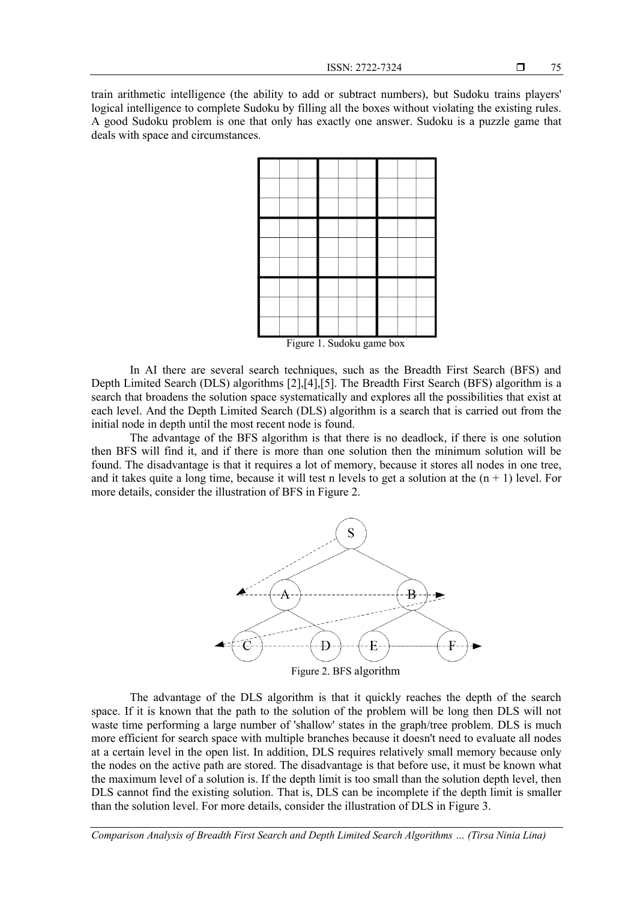train arithmetic intelligence (the ability to add or subtract numbers), but Sudoku trains players' logical intelligence to complete Sudoku by filling all the boxes without violating the existing rules. A good Sudoku problem is one that only has exactly one answer. Sudoku is a puzzle game that deals with space and circumstances.



Figure 1. Sudoku game box

In AI there are several search techniques, such as the Breadth First Search (BFS) and Depth Limited Search (DLS) algorithms [2],[4],[5]. The Breadth First Search (BFS) algorithm is a search that broadens the solution space systematically and explores all the possibilities that exist at each level. And the Depth Limited Search (DLS) algorithm is a search that is carried out from the initial node in depth until the most recent node is found.

The advantage of the BFS algorithm is that there is no deadlock, if there is one solution then BFS will find it, and if there is more than one solution then the minimum solution will be found. The disadvantage is that it requires a lot of memory, because it stores all nodes in one tree, and it takes quite a long time, because it will test n levels to get a solution at the  $(n + 1)$  level. For more details, consider the illustration of BFS in Figure 2.



The advantage of the DLS algorithm is that it quickly reaches the depth of the search space. If it is known that the path to the solution of the problem will be long then DLS will not waste time performing a large number of 'shallow' states in the graph/tree problem. DLS is much more efficient for search space with multiple branches because it doesn't need to evaluate all nodes at a certain level in the open list. In addition, DLS requires relatively small memory because only the nodes on the active path are stored. The disadvantage is that before use, it must be known what the maximum level of a solution is. If the depth limit is too small than the solution depth level, then DLS cannot find the existing solution. That is, DLS can be incomplete if the depth limit is smaller than the solution level. For more details, consider the illustration of DLS in Figure 3.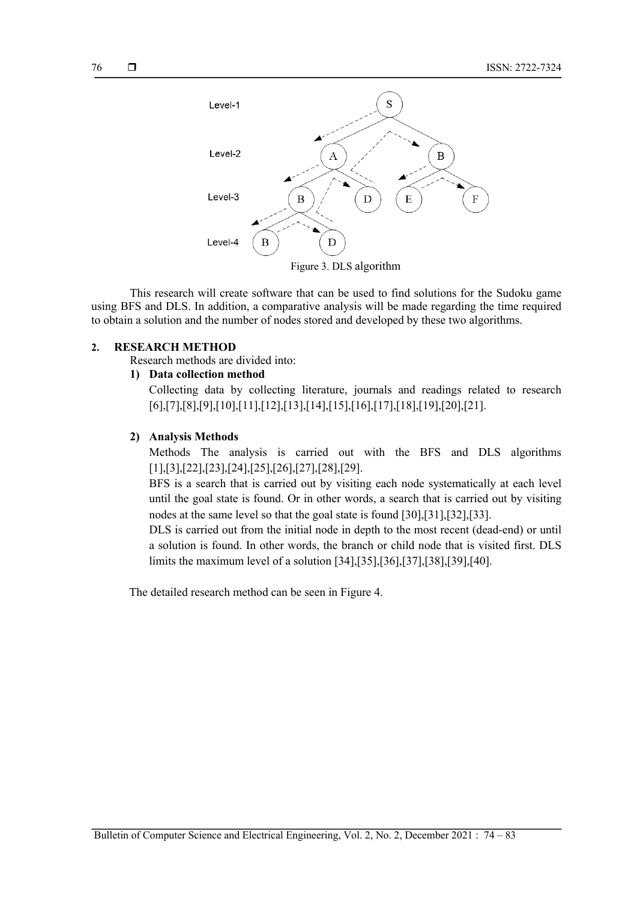

Figure 3. DLS algorithm

This research will create software that can be used to find solutions for the Sudoku game using BFS and DLS. In addition, a comparative analysis will be made regarding the time required to obtain a solution and the number of nodes stored and developed by these two algorithms.

## **2. RESEARCH METHOD**

Research methods are divided into:

## **1) Data collection method**

Collecting data by collecting literature, journals and readings related to research [6],[7],[8],[9],[10],[11],[12],[13],[14],[15],[16],[17],[18],[19],[20],[21].

#### **2) Analysis Methods**

Methods The analysis is carried out with the BFS and DLS algorithms [1],[3],[22],[23],[24],[25],[26],[27],[28],[29].

BFS is a search that is carried out by visiting each node systematically at each level until the goal state is found. Or in other words, a search that is carried out by visiting nodes at the same level so that the goal state is found [30],[31],[32],[33].

DLS is carried out from the initial node in depth to the most recent (dead-end) or until a solution is found. In other words, the branch or child node that is visited first. DLS limits the maximum level of a solution [34],[35],[36],[37],[38],[39],[40].

The detailed research method can be seen in Figure 4.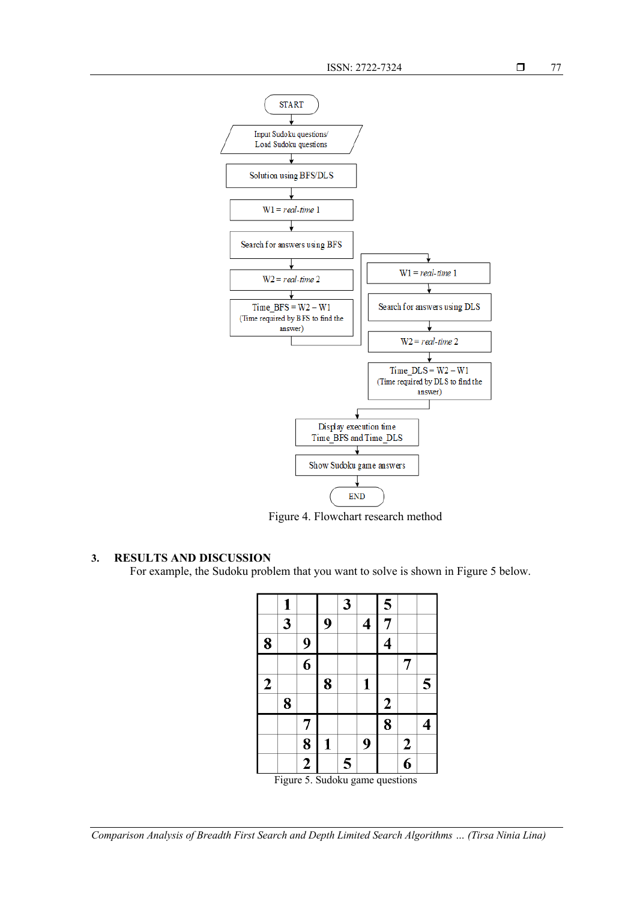

Figure 4. Flowchart research method

## **3. RESULTS AND DISCUSSION**

For example, the Sudoku problem that you want to solve is shown in Figure 5 below.

|                                 | 1 |                |   | 3 |                         | 5                |                         |   |
|---------------------------------|---|----------------|---|---|-------------------------|------------------|-------------------------|---|
|                                 | 3 |                | 9 |   | $\overline{\mathbf{4}}$ | 7                |                         |   |
| 8                               |   | 9              |   |   |                         | 4                |                         |   |
|                                 |   | 6              |   |   |                         |                  | 7                       |   |
| $\overline{2}$                  |   |                | 8 |   | 1                       |                  |                         | 5 |
|                                 | 8 |                |   |   |                         | $\boldsymbol{2}$ |                         |   |
|                                 |   | 7              |   |   |                         | 8                |                         | 4 |
|                                 |   | 8              | 1 |   | 9                       |                  | $\overline{\mathbf{c}}$ |   |
|                                 |   | $\overline{2}$ |   | 5 |                         |                  | $\overline{6}$          |   |
| Figure 5. Sudoku game questions |   |                |   |   |                         |                  |                         |   |

*Comparison Analysis of Breadth First Search and Depth Limited Search Algorithms … (Tirsa Ninia Lina)*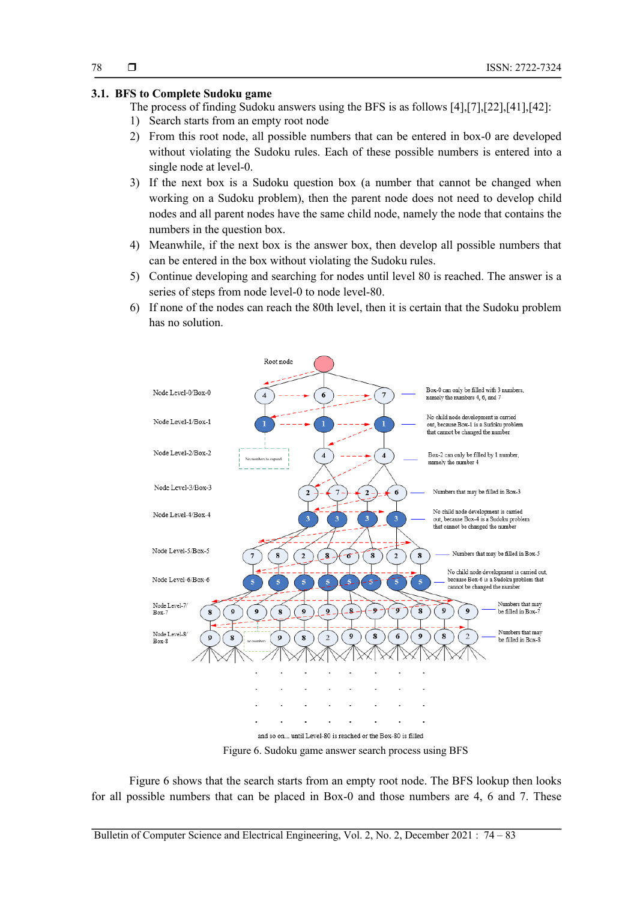#### **3.1. BFS to Complete Sudoku game**

- The process of finding Sudoku answers using the BFS is as follows [4],[7],[22],[41],[42]:
- 1) Search starts from an empty root node
- 2) From this root node, all possible numbers that can be entered in box-0 are developed without violating the Sudoku rules. Each of these possible numbers is entered into a single node at level-0.
- 3) If the next box is a Sudoku question box (a number that cannot be changed when working on a Sudoku problem), then the parent node does not need to develop child nodes and all parent nodes have the same child node, namely the node that contains the numbers in the question box.
- 4) Meanwhile, if the next box is the answer box, then develop all possible numbers that can be entered in the box without violating the Sudoku rules.
- 5) Continue developing and searching for nodes until level 80 is reached. The answer is a series of steps from node level-0 to node level-80.
- 6) If none of the nodes can reach the 80th level, then it is certain that the Sudoku problem has no solution.



Figure 6 shows that the search starts from an empty root node. The BFS lookup then looks for all possible numbers that can be placed in Box-0 and those numbers are 4, 6 and 7. These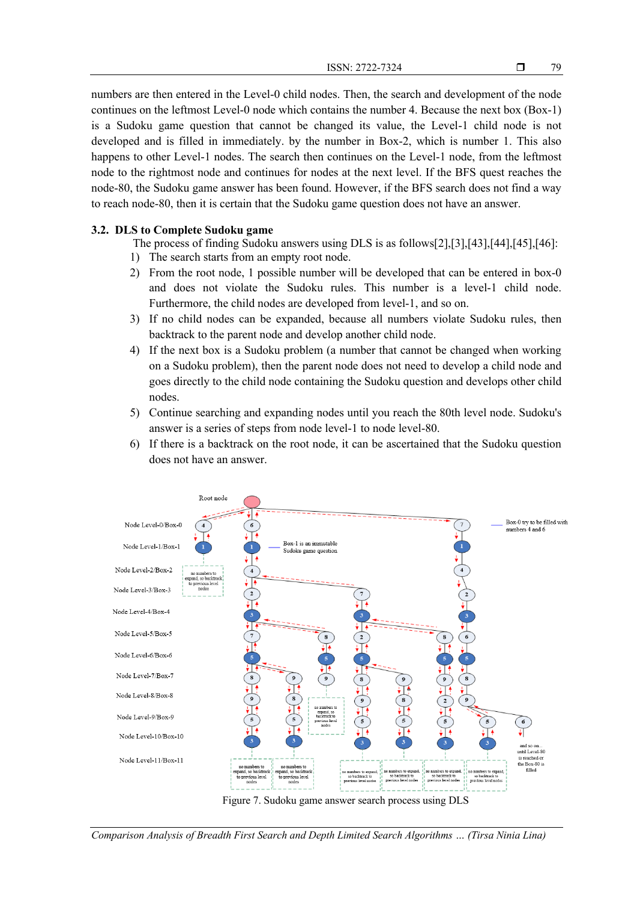numbers are then entered in the Level-0 child nodes. Then, the search and development of the node continues on the leftmost Level-0 node which contains the number 4. Because the next box (Box-1) is a Sudoku game question that cannot be changed its value, the Level-1 child node is not developed and is filled in immediately. by the number in Box-2, which is number 1. This also happens to other Level-1 nodes. The search then continues on the Level-1 node, from the leftmost node to the rightmost node and continues for nodes at the next level. If the BFS quest reaches the node-80, the Sudoku game answer has been found. However, if the BFS search does not find a way to reach node-80, then it is certain that the Sudoku game question does not have an answer.

#### **3.2. DLS to Complete Sudoku game**

The process of finding Sudoku answers using DLS is as follows[2],[3],[43],[44],[45],[46]:

- 1) The search starts from an empty root node.
- 2) From the root node, 1 possible number will be developed that can be entered in box-0 and does not violate the Sudoku rules. This number is a level-1 child node. Furthermore, the child nodes are developed from level-1, and so on.
- 3) If no child nodes can be expanded, because all numbers violate Sudoku rules, then backtrack to the parent node and develop another child node.
- 4) If the next box is a Sudoku problem (a number that cannot be changed when working on a Sudoku problem), then the parent node does not need to develop a child node and goes directly to the child node containing the Sudoku question and develops other child nodes.
- 5) Continue searching and expanding nodes until you reach the 80th level node. Sudoku's answer is a series of steps from node level-1 to node level-80.
- 6) If there is a backtrack on the root node, it can be ascertained that the Sudoku question does not have an answer.



*Comparison Analysis of Breadth First Search and Depth Limited Search Algorithms … (Tirsa Ninia Lina)*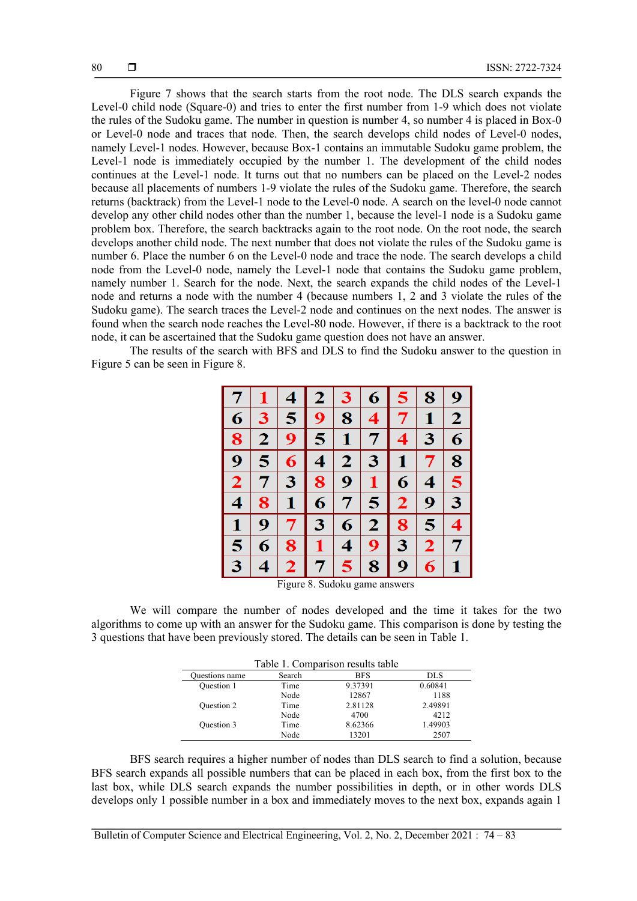Figure 7 shows that the search starts from the root node. The DLS search expands the Level-0 child node (Square-0) and tries to enter the first number from 1-9 which does not violate the rules of the Sudoku game. The number in question is number 4, so number 4 is placed in Box-0 or Level-0 node and traces that node. Then, the search develops child nodes of Level-0 nodes, namely Level-1 nodes. However, because Box-1 contains an immutable Sudoku game problem, the Level-1 node is immediately occupied by the number 1. The development of the child nodes continues at the Level-1 node. It turns out that no numbers can be placed on the Level-2 nodes because all placements of numbers 1-9 violate the rules of the Sudoku game. Therefore, the search returns (backtrack) from the Level-1 node to the Level-0 node. A search on the level-0 node cannot develop any other child nodes other than the number 1, because the level-1 node is a Sudoku game problem box. Therefore, the search backtracks again to the root node. On the root node, the search develops another child node. The next number that does not violate the rules of the Sudoku game is number 6. Place the number 6 on the Level-0 node and trace the node. The search develops a child node from the Level-0 node, namely the Level-1 node that contains the Sudoku game problem, namely number 1. Search for the node. Next, the search expands the child nodes of the Level-1 node and returns a node with the number 4 (because numbers 1, 2 and 3 violate the rules of the Sudoku game). The search traces the Level-2 node and continues on the next nodes. The answer is found when the search node reaches the Level-80 node. However, if there is a backtrack to the root node, it can be ascertained that the Sudoku game question does not have an answer.

The results of the search with BFS and DLS to find the Sudoku answer to the question in Figure 5 can be seen in Figure 8.

|                         |             | $\boldsymbol{4}$        | $\overline{2}$          | 3            | 6                       | 5              | 8                        | 9                        |
|-------------------------|-------------|-------------------------|-------------------------|--------------|-------------------------|----------------|--------------------------|--------------------------|
| 6                       | 3           | 5                       | 9                       | 8            | $\overline{\mathbf{4}}$ | 7              | $\mathbf{1}$             | $\overline{2}$           |
| 8                       | $\mathbf 2$ | 9                       | $\overline{\mathbf{5}}$ | $\mathbf{1}$ | 7                       | 4              | 3                        | 6                        |
| 9                       | 5           | 6                       | $\overline{\mathbf{4}}$ | $\mathbf{2}$ | 3                       | $\mathbf{1}$   | $\overline{\mathcal{L}}$ | 8                        |
| $\overline{2}$          | 7           | 3                       | 8                       | 9            | $\mathbf{1}$            | 6              | $\overline{\mathbf{4}}$  | 5                        |
| $\overline{\mathbf{4}}$ | 8           | $\mathbf{1}$            | 6                       | 7            | $\overline{\mathbf{5}}$ | $\overline{2}$ | 9                        | 3 <sup>5</sup>           |
| $\mathbf{1}$            | 9           | $\overline{7}$          | 3                       | 6            | 2 <sub>1</sub>          | 8              | 5                        | $\overline{\mathbf{4}}$  |
| 5                       | 6           | 8                       | 1                       | 4            | 9                       | 3              | $\overline{2}$           | $\overline{\mathcal{I}}$ |
| 3                       | 4           | $\overline{\mathbf{2}}$ | 7                       | 5            | 8                       | 9 <sup>°</sup> | 6                        | $\mathbf 1$              |

Figure 8. Sudoku game answers

We will compare the number of nodes developed and the time it takes for the two algorithms to come up with an answer for the Sudoku game. This comparison is done by testing the 3 questions that have been previously stored. The details can be seen in Table 1.

| Table 1. Comparison results table |        |            |         |  |  |  |
|-----------------------------------|--------|------------|---------|--|--|--|
| Questions name                    | Search | <b>BFS</b> | DLS.    |  |  |  |
| Question 1                        | Time   | 9.37391    | 0.60841 |  |  |  |
|                                   | Node   | 12867      | 1188    |  |  |  |
| Question 2                        | Time   | 2.81128    | 2.49891 |  |  |  |
|                                   | Node   | 4700       | 4212    |  |  |  |
| Question 3                        | Time   | 8.62366    | 1.49903 |  |  |  |
|                                   | Node   | 13201      | 2507    |  |  |  |

BFS search requires a higher number of nodes than DLS search to find a solution, because BFS search expands all possible numbers that can be placed in each box, from the first box to the last box, while DLS search expands the number possibilities in depth, or in other words DLS develops only 1 possible number in a box and immediately moves to the next box, expands again 1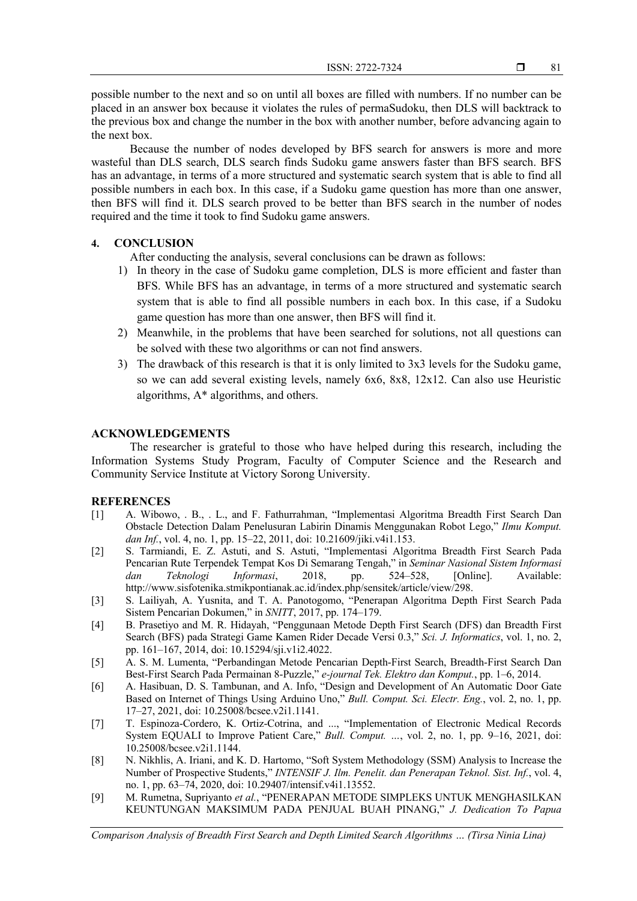$ISSN: 2722-7324$   $\Box$ 

81

possible number to the next and so on until all boxes are filled with numbers. If no number can be placed in an answer box because it violates the rules of permaSudoku, then DLS will backtrack to the previous box and change the number in the box with another number, before advancing again to the next box.

Because the number of nodes developed by BFS search for answers is more and more wasteful than DLS search, DLS search finds Sudoku game answers faster than BFS search. BFS has an advantage, in terms of a more structured and systematic search system that is able to find all possible numbers in each box. In this case, if a Sudoku game question has more than one answer, then BFS will find it. DLS search proved to be better than BFS search in the number of nodes required and the time it took to find Sudoku game answers.

## **4. CONCLUSION**

After conducting the analysis, several conclusions can be drawn as follows:

- 1) In theory in the case of Sudoku game completion, DLS is more efficient and faster than BFS. While BFS has an advantage, in terms of a more structured and systematic search system that is able to find all possible numbers in each box. In this case, if a Sudoku game question has more than one answer, then BFS will find it.
- 2) Meanwhile, in the problems that have been searched for solutions, not all questions can be solved with these two algorithms or can not find answers.
- 3) The drawback of this research is that it is only limited to 3x3 levels for the Sudoku game, so we can add several existing levels, namely 6x6, 8x8, 12x12. Can also use Heuristic algorithms, A\* algorithms, and others.

## **ACKNOWLEDGEMENTS**

The researcher is grateful to those who have helped during this research, including the Information Systems Study Program, Faculty of Computer Science and the Research and Community Service Institute at Victory Sorong University.

## **REFERENCES**

- [1] A. Wibowo, . B., . L., and F. Fathurrahman, "Implementasi Algoritma Breadth First Search Dan Obstacle Detection Dalam Penelusuran Labirin Dinamis Menggunakan Robot Lego," *Ilmu Komput. dan Inf.*, vol. 4, no. 1, pp. 15–22, 2011, doi: 10.21609/jiki.v4i1.153.
- [2] S. Tarmiandi, E. Z. Astuti, and S. Astuti, "Implementasi Algoritma Breadth First Search Pada Pencarian Rute Terpendek Tempat Kos Di Semarang Tengah," in *Seminar Nasional Sistem Informasi dan Teknologi Informasi*, 2018, pp. 524–528, [Online]. Available: http://www.sisfotenika.stmikpontianak.ac.id/index.php/sensitek/article/view/298.
- [3] S. Lailiyah, A. Yusnita, and T. A. Panotogomo, "Penerapan Algoritma Depth First Search Pada Sistem Pencarian Dokumen," in *SNITT*, 2017, pp. 174–179.
- [4] B. Prasetiyo and M. R. Hidayah, "Penggunaan Metode Depth First Search (DFS) dan Breadth First Search (BFS) pada Strategi Game Kamen Rider Decade Versi 0.3," *Sci. J. Informatics*, vol. 1, no. 2, pp. 161–167, 2014, doi: 10.15294/sji.v1i2.4022.
- [5] A. S. M. Lumenta, "Perbandingan Metode Pencarian Depth-First Search, Breadth-First Search Dan Best-First Search Pada Permainan 8-Puzzle," *e-journal Tek. Elektro dan Komput.*, pp. 1–6, 2014.
- [6] A. Hasibuan, D. S. Tambunan, and A. Info, "Design and Development of An Automatic Door Gate Based on Internet of Things Using Arduino Uno," *Bull. Comput. Sci. Electr. Eng.*, vol. 2, no. 1, pp. 17–27, 2021, doi: 10.25008/bcsee.v2i1.1141.
- [7] T. Espinoza-Cordero, K. Ortiz-Cotrina, and ..., "Implementation of Electronic Medical Records System EQUALI to Improve Patient Care," *Bull. Comput. …*, vol. 2, no. 1, pp. 9–16, 2021, doi: 10.25008/bcsee.v2i1.1144.
- [8] N. Nikhlis, A. Iriani, and K. D. Hartomo, "Soft System Methodology (SSM) Analysis to Increase the Number of Prospective Students," *INTENSIF J. Ilm. Penelit. dan Penerapan Teknol. Sist. Inf.*, vol. 4, no. 1, pp. 63–74, 2020, doi: 10.29407/intensif.v4i1.13552.
- [9] M. Rumetna, Supriyanto *et al.*, "PENERAPAN METODE SIMPLEKS UNTUK MENGHASILKAN KEUNTUNGAN MAKSIMUM PADA PENJUAL BUAH PINANG," *J. Dedication To Papua*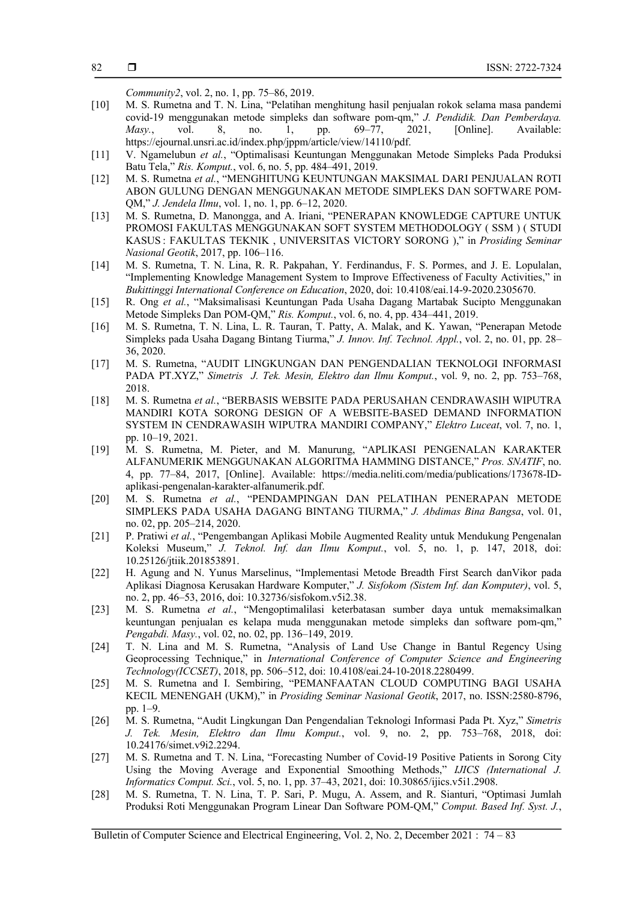*Community2*, vol. 2, no. 1, pp. 75–86, 2019.

- [10] M. S. Rumetna and T. N. Lina, "Pelatihan menghitung hasil penjualan rokok selama masa pandemi covid-19 menggunakan metode simpleks dan software pom-qm," *J. Pendidik. Dan Pemberdaya. Masy.*, vol. 8, no. 1, pp. 69–77, 2021, [Online]. Available: https://ejournal.unsri.ac.id/index.php/jppm/article/view/14110/pdf.
- [11] V. Ngamelubun *et al.*, "Optimalisasi Keuntungan Menggunakan Metode Simpleks Pada Produksi Batu Tela," *Ris. Komput.*, vol. 6, no. 5, pp. 484–491, 2019.
- [12] M. S. Rumetna *et al.*, "MENGHITUNG KEUNTUNGAN MAKSIMAL DARI PENJUALAN ROTI ABON GULUNG DENGAN MENGGUNAKAN METODE SIMPLEKS DAN SOFTWARE POM-QM," *J. Jendela Ilmu*, vol. 1, no. 1, pp. 6–12, 2020.
- [13] M. S. Rumetna, D. Manongga, and A. Iriani, "PENERAPAN KNOWLEDGE CAPTURE UNTUK PROMOSI FAKULTAS MENGGUNAKAN SOFT SYSTEM METHODOLOGY ( SSM ) ( STUDI KASUS : FAKULTAS TEKNIK , UNIVERSITAS VICTORY SORONG )," in *Prosiding Seminar Nasional Geotik*, 2017, pp. 106–116.
- [14] M. S. Rumetna, T. N. Lina, R. R. Pakpahan, Y. Ferdinandus, F. S. Pormes, and J. E. Lopulalan, "Implementing Knowledge Management System to Improve Effectiveness of Faculty Activities," in *Bukittinggi International Conference on Education*, 2020, doi: 10.4108/eai.14-9-2020.2305670.
- [15] R. Ong *et al.*, "Maksimalisasi Keuntungan Pada Usaha Dagang Martabak Sucipto Menggunakan Metode Simpleks Dan POM-QM," *Ris. Komput.*, vol. 6, no. 4, pp. 434–441, 2019.
- [16] M. S. Rumetna, T. N. Lina, L. R. Tauran, T. Patty, A. Malak, and K. Yawan, "Penerapan Metode Simpleks pada Usaha Dagang Bintang Tiurma," *J. Innov. Inf. Technol. Appl.*, vol. 2, no. 01, pp. 28– 36, 2020.
- [17] M. S. Rumetna, "AUDIT LINGKUNGAN DAN PENGENDALIAN TEKNOLOGI INFORMASI PADA PT.XYZ," *Simetris J. Tek. Mesin, Elektro dan Ilmu Komput.*, vol. 9, no. 2, pp. 753–768, 2018.
- [18] M. S. Rumetna *et al.*, "BERBASIS WEBSITE PADA PERUSAHAN CENDRAWASIH WIPUTRA MANDIRI KOTA SORONG DESIGN OF A WEBSITE-BASED DEMAND INFORMATION SYSTEM IN CENDRAWASIH WIPUTRA MANDIRI COMPANY," *Elektro Luceat*, vol. 7, no. 1, pp. 10–19, 2021.
- [19] M. S. Rumetna, M. Pieter, and M. Manurung, "APLIKASI PENGENALAN KARAKTER ALFANUMERIK MENGGUNAKAN ALGORITMA HAMMING DISTANCE," *Pros. SNATIF*, no. 4, pp. 77–84, 2017, [Online]. Available: https://media.neliti.com/media/publications/173678-IDaplikasi-pengenalan-karakter-alfanumerik.pdf.
- [20] M. S. Rumetna *et al.*, "PENDAMPINGAN DAN PELATIHAN PENERAPAN METODE SIMPLEKS PADA USAHA DAGANG BINTANG TIURMA," *J. Abdimas Bina Bangsa*, vol. 01, no. 02, pp. 205–214, 2020.
- [21] P. Pratiwi *et al.*, "Pengembangan Aplikasi Mobile Augmented Reality untuk Mendukung Pengenalan Koleksi Museum," *J. Teknol. Inf. dan Ilmu Komput.*, vol. 5, no. 1, p. 147, 2018, doi: 10.25126/jtiik.201853891.
- [22] H. Agung and N. Yunus Marselinus, "Implementasi Metode Breadth First Search danVikor pada Aplikasi Diagnosa Kerusakan Hardware Komputer," *J. Sisfokom (Sistem Inf. dan Komputer)*, vol. 5, no. 2, pp. 46–53, 2016, doi: 10.32736/sisfokom.v5i2.38.
- [23] M. S. Rumetna *et al.*, "Mengoptimalilasi keterbatasan sumber daya untuk memaksimalkan keuntungan penjualan es kelapa muda menggunakan metode simpleks dan software pom-qm," *Pengabdi. Masy.*, vol. 02, no. 02, pp. 136–149, 2019.
- [24] T. N. Lina and M. S. Rumetna, "Analysis of Land Use Change in Bantul Regency Using Geoprocessing Technique," in *International Conference of Computer Science and Engineering Technology(ICCSET)*, 2018, pp. 506–512, doi: 10.4108/eai.24-10-2018.2280499.
- [25] M. S. Rumetna and I. Sembiring, "PEMANFAATAN CLOUD COMPUTING BAGI USAHA KECIL MENENGAH (UKM)," in *Prosiding Seminar Nasional Geotik*, 2017, no. ISSN:2580-8796, pp. 1–9.
- [26] M. S. Rumetna, "Audit Lingkungan Dan Pengendalian Teknologi Informasi Pada Pt. Xyz," *Simetris J. Tek. Mesin, Elektro dan Ilmu Komput.*, vol. 9, no. 2, pp. 753–768, 2018, doi: 10.24176/simet.v9i2.2294.
- [27] M. S. Rumetna and T. N. Lina, "Forecasting Number of Covid-19 Positive Patients in Sorong City Using the Moving Average and Exponential Smoothing Methods," *IJICS (International J. Informatics Comput. Sci.*, vol. 5, no. 1, pp. 37–43, 2021, doi: 10.30865/ijics.v5i1.2908.
- [28] M. S. Rumetna, T. N. Lina, T. P. Sari, P. Mugu, A. Assem, and R. Sianturi, "Optimasi Jumlah Produksi Roti Menggunakan Program Linear Dan Software POM-QM," *Comput. Based Inf. Syst. J.*,